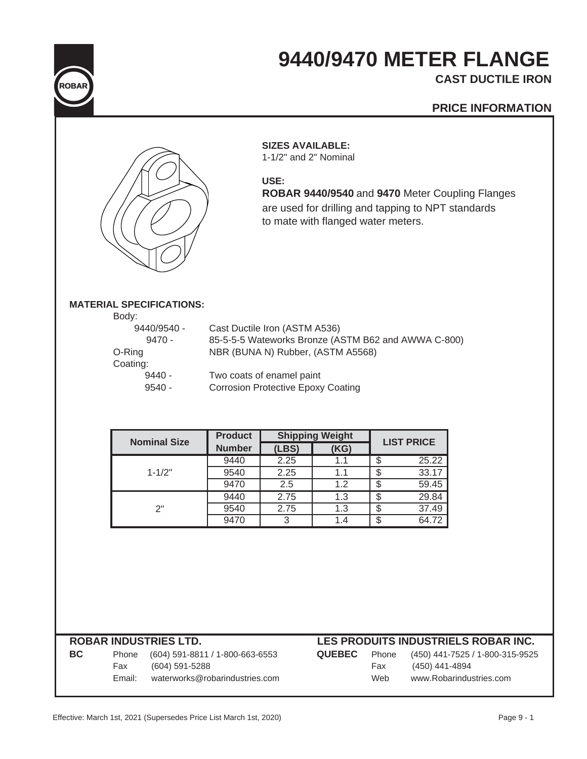

# **9440/9470 METER FLANGE CAST DUCTILE IRON**

## **PRICE INFORMATION**



### **SIZES AVAILABLE:**

1-1/2" and 2" Nominal

**USE:**

**ROBAR 9440/9540** and **9470** Meter Coupling Flanges are used for drilling and tapping to NPT standards to mate with flanged water meters.

### **MATERIAL SPECIFICATIONS:**

| Body:       |                                                     |
|-------------|-----------------------------------------------------|
| 9440/9540 - | Cast Ductile Iron (ASTM A536)                       |
| $9470 -$    | 85-5-5-5 Wateworks Bronze (ASTM B62 and AWWA C-800) |
| O-Ring      | NBR (BUNA N) Rubber, (ASTM A5568)                   |
| Coating:    |                                                     |
| $9440 -$    | Two coats of enamel paint                           |
| $9540 -$    | <b>Corrosion Protective Epoxy Coating</b>           |
|             |                                                     |

| <b>Nominal Size</b> | <b>Product</b> | <b>Shipping Weight</b> | <b>LIST PRICE</b> |       |
|---------------------|----------------|------------------------|-------------------|-------|
|                     | <b>Number</b>  | (LBS)                  | (KG)              |       |
|                     | 9440           | 2.25                   | 1.1               | 25.22 |
| $1 - 1/2"$          | 9540           | 2.25                   | 1.1               | 33.17 |
|                     | 9470           | 2.5                    | 1.2               | 59.45 |
|                     | 9440           | 2.75                   | 1.3               | 29.84 |
| ?"                  | 9540           | 2.75                   | 1.3               | 37.49 |
|                     | 9470           | 3                      | 1.4               | 64.72 |

## **ROBAR INDUSTRIES LTD. LES PRODUITS INDUSTRIELS ROBAR INC. BC** Phone (604) 591-8811 / 1-800-663-6553 **QUEBEC** Phone (450) 441-7525 / 1-800-315-9525 Fax (604) 591-5288 Fax (450) 441-4894 Email: waterworks@robarindustries.com Web www.Robarindustries.com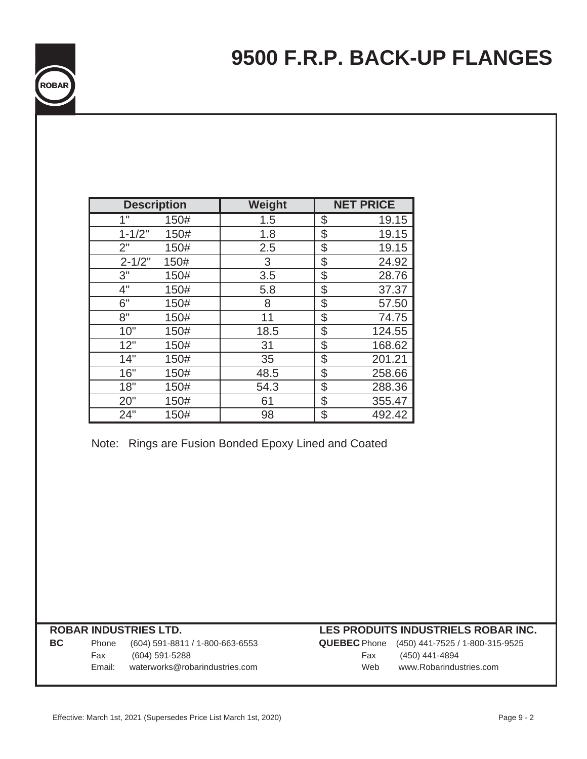| <b>ROBAR</b> |  |
|--------------|--|
|              |  |

| <b>Description</b> |      | Weight | <b>NET PRICE</b> |
|--------------------|------|--------|------------------|
| $\overline{1}$     | 150# | 1.5    | \$<br>19.15      |
| $1 - 1/2"$         | 150# | 1.8    | \$<br>19.15      |
| 2"                 | 150# | 2.5    | \$<br>19.15      |
| $2 - 1/2"$         | 150# | 3      | \$<br>24.92      |
| 3"                 | 150# | 3.5    | \$<br>28.76      |
| 4"                 | 150# | 5.8    | \$<br>37.37      |
| 6"                 | 150# | 8      | \$<br>57.50      |
| 8"                 | 150# | 11     | \$<br>74.75      |
| 10"                | 150# | 18.5   | \$<br>124.55     |
| 12"                | 150# | 31     | \$<br>168.62     |
| 14"                | 150# | 35     | \$<br>201.21     |
| 16"                | 150# | 48.5   | \$<br>258.66     |
| 18"                | 150# | 54.3   | \$<br>288.36     |
| 20"                | 150# | 61     | \$<br>355.47     |
| 24"                | 150# | 98     | \$<br>492.42     |

Note: Rings are Fusion Bonded Epoxy Lined and Coated

**BC** Phone (604) 591-8811 / 1-800-663-6553 **QUEBEC** Phone (450) 441-7525 / 1-800-315-9525 Fax (604) 591-5288 Fax (450) 441-4894 Email: waterworks@robarindustries.com Web www.Robarindustries.com

## **ROBAR INDUSTRIES LTD. LES PRODUITS INDUSTRIELS ROBAR INC.**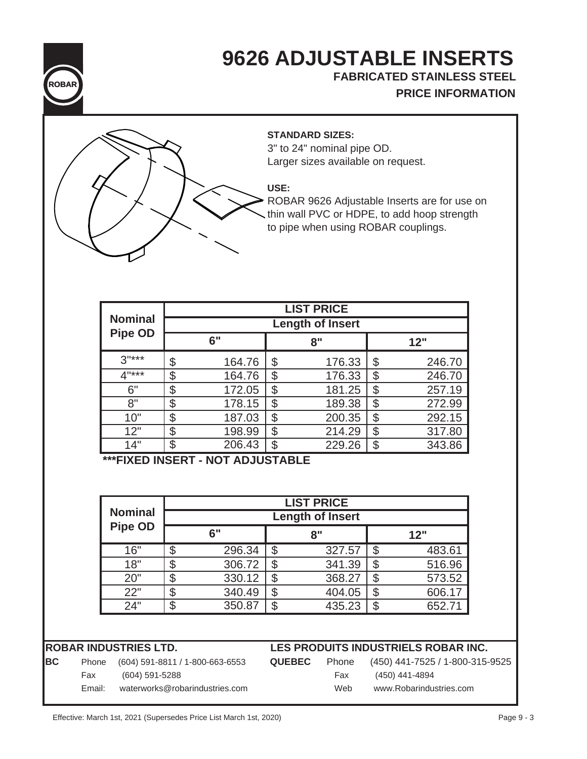

# **9626 ADJUSTABLE INSERTS**

**FABRICATED STAINLESS STEEL**

**PRICE INFORMATION**



### **STANDARD SIZES:**

3" to 24" nominal pipe OD. Larger sizes available on request.

# **USE:**

ROBAR 9626 Adjustable Inserts are for use on thin wall PVC or HDPE, to add hoop strength to pipe when using ROBAR couplings.

|                |                         |        |    | <b>LIST PRICE</b> |    |        |  |
|----------------|-------------------------|--------|----|-------------------|----|--------|--|
| <b>Nominal</b> | <b>Length of Insert</b> |        |    |                   |    |        |  |
| <b>Pipe OD</b> |                         | 6"     |    | 8"                |    | 12"    |  |
| $3"***$        | \$                      | 164.76 | \$ | 176.33            | \$ | 246.70 |  |
| 4"***          | \$                      | 164.76 | \$ | 176.33            | \$ | 246.70 |  |
| 6"             | \$                      | 172.05 | \$ | 181.25            | \$ | 257.19 |  |
| 8"             | \$                      | 178.15 | \$ | 189.38            | \$ | 272.99 |  |
| 10"            | \$                      | 187.03 | \$ | 200.35            | \$ | 292.15 |  |
| 12"            | \$                      | 198.99 | \$ | 214.29            | \$ | 317.80 |  |
| 14"            | \$                      | 206.43 | \$ | 229.26            | \$ | 343.86 |  |

**\*\*\*FIXED INSERT - NOT ADJUSTABLE**

| <b>Nominal</b> |                         |        |    | <b>LIST PRICE</b> |  |        |  |
|----------------|-------------------------|--------|----|-------------------|--|--------|--|
|                | <b>Length of Insert</b> |        |    |                   |  |        |  |
| <b>Pipe OD</b> |                         | 6"     |    | 8"                |  | 12"    |  |
| 16"            | \$                      | 296.34 | S  | 327.57            |  | 483.61 |  |
| 18"            | S                       | 306.72 |    | 341.39            |  | 516.96 |  |
| 20"            | \$                      | 330.12 |    | 368.27            |  | 573.52 |  |
| 22"            |                         | 340.49 | \$ | 404.05            |  | 606.17 |  |
| 24"            | \$                      | 350.87 | \$ | 435.23            |  | 652.71 |  |

**ROBAR INDUSTRIES LTD. LES PRODUITS INDUSTRIELS ROBAR INC.**

**BC** Phone (604) 591-8811 / 1-800-663-6553 **QUEBEC** Phone (450) 441-7525 / 1-800-315-9525

Fax (604) 591-5288 Fax (450) 441-4894 Email: waterworks@robarindustries.com Web www.Robarindustries.com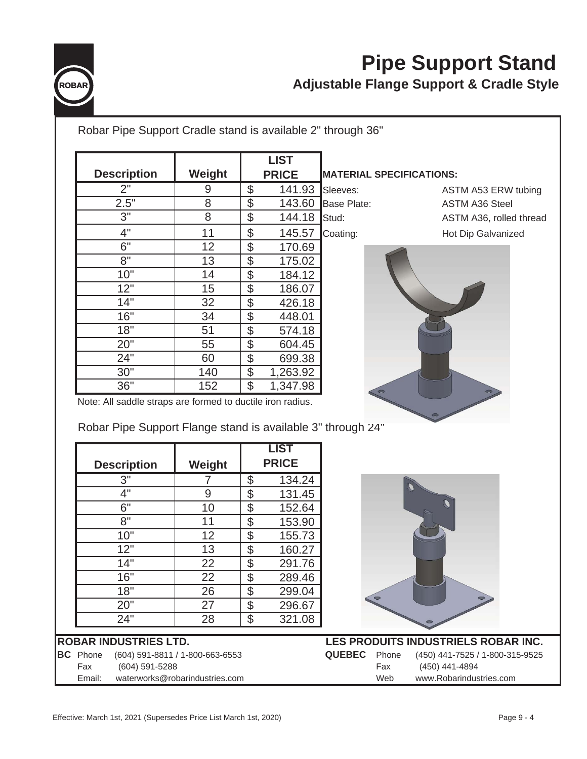

# **Pipe Support Stand Adjustable Flange Support & Cradle Style**

| Robar Pipe Support Cradle stand is available 2" through 36" |                                 |                                |              |                    |                                 |                                           |
|-------------------------------------------------------------|---------------------------------|--------------------------------|--------------|--------------------|---------------------------------|-------------------------------------------|
|                                                             |                                 |                                | <b>LIST</b>  |                    |                                 |                                           |
| <b>Description</b>                                          | Weight                          |                                | <b>PRICE</b> |                    | <b>MATERIAL SPECIFICATIONS:</b> |                                           |
| 2"                                                          | 9                               | $\boldsymbol{\mathsf{S}}$      | 141.93       | Sleeves:           |                                 | ASTM A53 ERW tubing                       |
| 2.5"                                                        | 8                               | $\frac{1}{2}$                  | 143.60       | <b>Base Plate:</b> |                                 | <b>ASTM A36 Steel</b>                     |
| 3"                                                          | 8                               | $\mathfrak{S}$                 | 144.18       | Stud:              |                                 | ASTM A36, rolled thread                   |
| 4"                                                          | 11                              | $\mathcal{L}$                  | 145.57       | Coating:           |                                 | Hot Dip Galvanized                        |
| 6"                                                          | 12                              | $\frac{1}{2}$                  | 170.69       |                    |                                 |                                           |
| 8"                                                          | 13                              | $\frac{1}{2}$                  | 175.02       |                    |                                 |                                           |
| 10"                                                         | 14                              | \$                             | 184.12       |                    |                                 |                                           |
| $\overline{12}$ "                                           | 15                              | $\overline{\mathcal{S}}$       | 186.07       |                    |                                 |                                           |
| 14"                                                         | 32                              | $\frac{1}{2}$                  | 426.18       |                    |                                 |                                           |
| 16"                                                         | 34                              | $\overline{\mathcal{S}}$       | 448.01       |                    |                                 |                                           |
| 18"                                                         | 51                              | $\frac{1}{2}$                  | 574.18       |                    |                                 |                                           |
| 20"                                                         | 55                              | $\mathfrak{S}$                 | 604.45       |                    |                                 |                                           |
| 24"                                                         | 60                              | \$                             | 699.38       |                    |                                 |                                           |
| 30"                                                         | 140                             | $\frac{1}{2}$                  | 1,263.92     |                    |                                 |                                           |
| 36"                                                         | 152                             | $\$\$                          | 1,347.98     |                    |                                 |                                           |
| Note: All saddle straps are formed to ductile iron radius.  |                                 |                                |              |                    |                                 |                                           |
| Robar Pipe Support Flange stand is available 3" through 24" |                                 |                                | <b>LIST</b>  |                    |                                 |                                           |
| <b>Description</b>                                          | Weight                          |                                | <b>PRICE</b> |                    |                                 |                                           |
| 3"                                                          | 7                               | $\boldsymbol{\mathsf{S}}$      | 134.24       |                    |                                 |                                           |
| 4"                                                          | 9                               | $\frac{1}{2}$                  | 131.45       |                    |                                 |                                           |
| 6"                                                          | 10                              | $\boldsymbol{\theta}$          | 152.64       |                    |                                 |                                           |
| 8"                                                          | 11                              | $\mathfrak{S}$                 | 153.90       |                    |                                 |                                           |
| 10"                                                         | 12                              | $\boldsymbol{\mathsf{S}}$      | 155.73       |                    |                                 |                                           |
| 12"                                                         | 13                              | $\boldsymbol{\theta}$          | 160.27       |                    |                                 |                                           |
| 14"                                                         | 22                              | $\overline{\mathcal{S}}$       | 291.76       |                    |                                 |                                           |
| 16"                                                         | 22                              | \$                             | 289.46       |                    |                                 |                                           |
| 18"                                                         | 26                              | \$                             | 299.04       |                    |                                 |                                           |
| 20"<br>24"                                                  | 27<br>28                        | $\frac{1}{2}$<br>$\mathcal{L}$ | 296.67       |                    |                                 |                                           |
|                                                             |                                 |                                | 321.08       |                    |                                 |                                           |
| <b>ROBAR INDUSTRIES LTD.</b>                                |                                 |                                |              |                    |                                 | LES PRODUITS INDUSTRIELS ROBAR INC.       |
| <b>BC</b> Phone                                             | (604) 591-8811 / 1-800-663-6553 |                                |              | <b>QUEBEC</b>      | Phone                           | (450) 441-7525 / 1-800-315-9525           |
| Fax<br>(604) 591-5288<br>Email:                             | waterworks@robarindustries.com  |                                |              |                    | Fax<br>Web                      | (450) 441-4894<br>www.Robarindustries.com |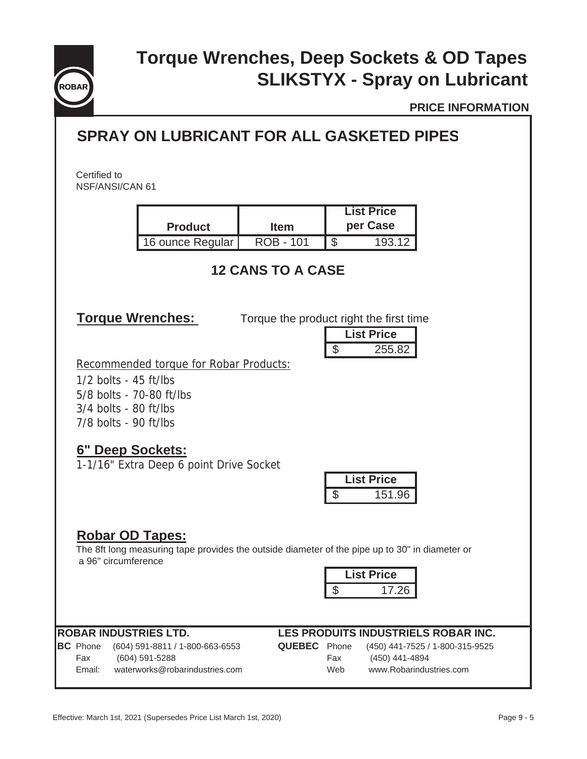

# **SLIKSTYX - Spray on Lubricant Torque Wrenches, Deep Sockets & OD Tapes**

**PRICE INFORMATION**